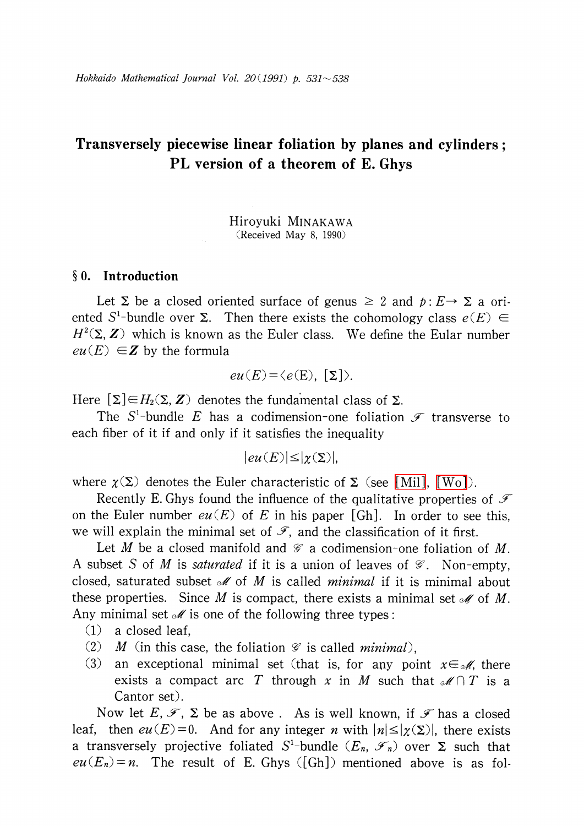# Transversely piecewise linear foliation by planes and cylinders; PL version of a theorem of E. Ghys

Hiroyuki MINAKAWA (Received May 8, 1990)

### $\S$  0. Introduction

Let  $\Sigma$  be a closed oriented surface of genus  $\geq 2$  and  $p: E \rightarrow \Sigma$  a oriented S<sup>1</sup>-bundle over  $\Sigma$ . Then there exists the cohomology class  $e(E)\in$  $H^{2}(\Sigma, Z)$  which is known as the Euler class. We define the Eular number  $eu(E) \in Z$  by the formula

$$
eu(E) = \langle e(E), [\Sigma] \rangle.
$$

Here  $[\Sigma]\!\in\! H_{2}(\Sigma, \mathbf{Z})$  denotes the fundamental class of  $\Sigma.$ 

The S<sup>1</sup>-bundle E has a codimension-one foliation  $\mathscr{F}$  transverse to each fiber of it if and only if it satisfies the inequality

$$
|eu(E)| \leq |\chi(\Sigma)|,
$$

where  $\chi(\Sigma)$  denotes the Euler characteristic of  $\Sigma$  (see [\[Mil\],](#page-7-0) [\[Wo\]\)](#page-7-1).

Recently E. Ghys found the influence of the qualitative properties of  $\mathcal{F}$ on the Euler number  $eu(E)$  of E in his paper [Gh]. In order to see this, we will explain the minimal set of  $\mathscr{F},$  and the classification of it first.

Let M be a closed manifold and  $\mathscr{G}$  a codimension-one foliation of M. A subset S of M is saturated if it is a union of leaves of  $\mathscr{G}$ . Non-empty, closed, saturated subset  $\mathcal{M}$  of M is called *minimal* if it is minimal about these properties. Since M is compact, there exists a minimal set  $\mathcal{M}$  of M. Any minimal set  $\mathcal{M}$  is one of the following three types:

- (1) a closed leaf,
- (2) M (in this case, the foliation  $\mathcal{G}$  is called minimal),
- (3) an exceptional minimal set (that is, for any point  $x \in \mathcal{M}$ , there exists a compact arc T through x in M such that  $\mathcal{M}\cap T$  is a Cantor set).

Now let E,  $\mathcal{F}_{+}\Sigma$  be as above . As is well known, if  $\mathcal{F}$  has a closed leaf, then  $eu(E)=0$ . And for any integer *n* with  $|n|\leq |\chi(\Sigma)|$ , there exists a transversely projective foliated S<sup>1</sup>-bundle ( $E_{n}$ ,  $\mathscr{F}_{n}$ ) over  $\Sigma$  such that  $eu(E_{n})=n$ . The result of E. Ghys ([Gh]) mentioned above is as fol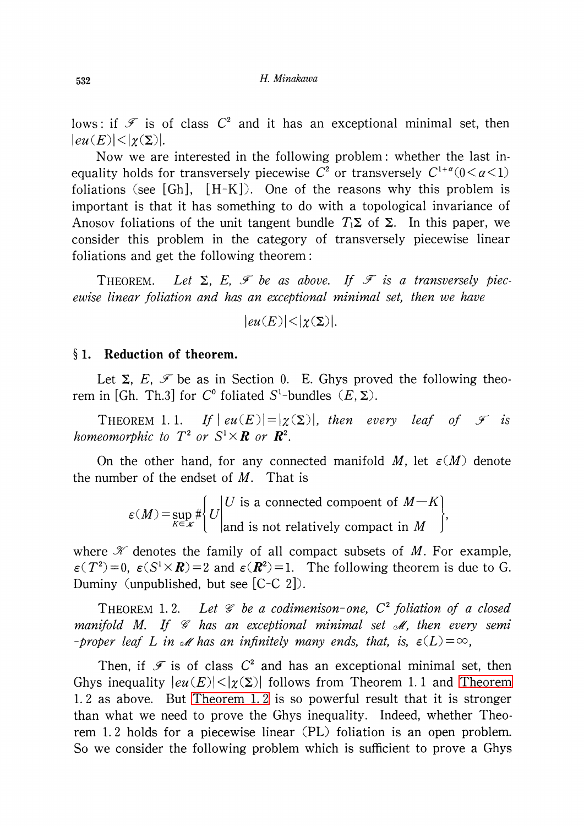lows: if  $\mathcal{F}$  is of class  $C^{2}$  and it has an exceptional minimal set, then  $|eu(E)| < |\chi(\Sigma)|$ .

Now we are interested in the following problem: whether the last inequality holds for transversely piecewise  $C^{2}$  or transversely  $C^{1+a}(0<\alpha<1)$ foliations (see  $[Gh]$ ,  $[H-K]$ ). One of the reasons why this problem is important is that it has something to do with a topological invariance of Anosov foliations of the unit tangent bundle  $T_{1}\Sigma$  of  $\Sigma$ . In this paper, we consider this problem in the category of transversely piecewise linear foliations and get the following theorem:

THEOREM. Let  $\Sigma$ ,  $E$ ,  $\mathcal F$  be as above. If  $\mathcal F$  is a transversely piecewise linear foliation and has an exceptional minimal set, then we have

 $|eu(E)|<|\chi(\Sigma)|$ .

#### $\S 1.$  Reduction of theorem.

Let  $\Sigma$ ,  $E$ ,  $\mathscr{F}$  be as in Section 0. E. Ghys proved the following theorem in [Gh. Th.3] for  $C^{0}$  foliated S<sup>1</sup>-bundles  $(E, \Sigma)$ .

THEOREM 1.1. If  $|eu(E)| = |\chi(\Sigma)|$ , then every leaf of  $\mathcal{F}$  is homeomorphic to  $T^{2}$  or  $S^{1}\times \boldsymbol R$  or  $\boldsymbol R^{2}.$ 

On the other hand, for any connected manifold M, let  $\varepsilon(M)$  denote the number of the endset of  $M$ . That is

$$
\varepsilon(M) = \sup_{K \in \mathcal{K}} \# \left\{ U \middle| \begin{aligned} U & \text{is a connected component of } M - K \\ \text{and is not relatively compact in } M \end{aligned} \right\},
$$

where  $\mathcal{K}$  denotes the family of all compact subsets of M. For example,  $\epsilon(T^{2})=0, \ \epsilon(S^{1}\times \boldsymbol{R})=2$  and  $\epsilon(\boldsymbol{R}^{2})=1$ . The following theorem is due to G. Duminy (unpublished, but see [C-C 2]).

<span id="page-1-0"></span>THEOREM 1.2. Let  $\mathcal{C}$  be a codimenison-one,  $C^{2}$  foliation of a closed manifold M. If  $\mathscr{G}$  has an exceptional minimal set  $\mathscr{M}$ , then every semi -proper leaf  $L$  in  $\mathscr{M}$  has an infinitely many ends, that, is,  $\varepsilon(L)=\infty$ ,

Then, if  $\mathcal{F}$  is of class  $C^{2}$  and has an exceptional minimal set, then Ghys inequality  $|eu(E)|<|\chi(\Sigma)|$  follows from [Theorem](#page-1-0) 1.1 and Theorem 1. <sup>2</sup> as above. But [Theorem](#page-1-0) 1. <sup>2</sup> is so powerful result that it is stronger than what we need to prove the Ghys inequality. Indeed, whether Theorem 1. <sup>2</sup> holds for a piecewise linear (PL) foliation is an open problem. So we consider the following problem which is sufficient to prove a Ghys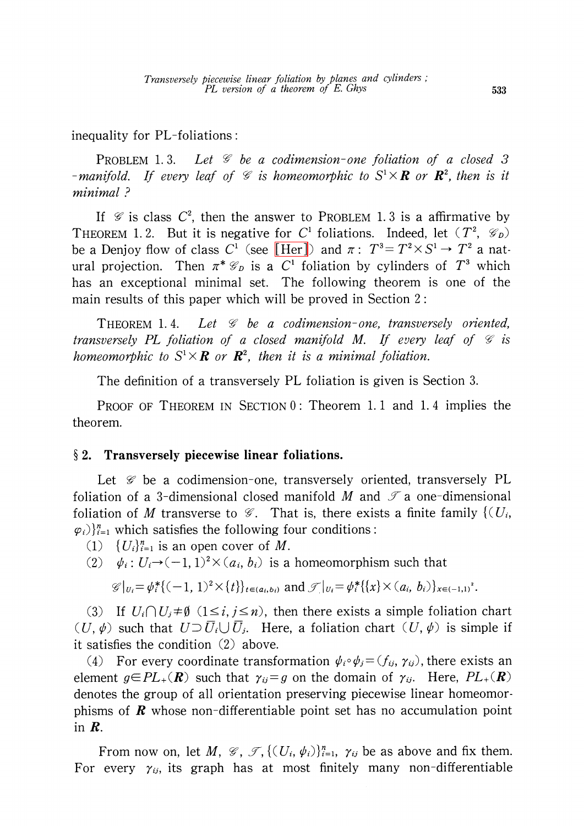inequality for PL-foliations:

PROBLEM 1.3. Let  $\mathcal G$  be a codimension-one foliation of a closed 3 -manifold. If every leaf of  $\mathscr{G}$  is homeomorphic to  $S^{1}\times \boldsymbol{R}$  or  $\boldsymbol{R}^{2}$ , then is it minimal  $\cdot$ 

If  $\mathscr{G}$  is class  $C^{2}$ , then the answer to PROBLEM 1.3 is a affirmative by THEOREM 1.2. But it is negative for C<sup>1</sup> foliations. Indeed, let  $(T^{2}, \mathcal{G}_{D})$ be a Denjoy flow of class  $C^{1}$  (see [\[Her\]\)](#page-7-2) and  $\pi: T^{3}=T^{2}\times S^{1}\rightarrow T^{2}$  a natural projection. Then  $\pi^{*}\mathcal{G}_{D}$  is a  $C^{1}$  foliation by cylinders of  $T^{3}$  which has an exceptional minimal set. The following theorem is one of the main results of this paper which will be proved in Section 2:

THEOREM 1.4. Let  $\mathcal G$  be a codimension-one, transversely oriented, transversely PL foliation of a closed manifold M. If every leaf of  $\mathscr{C}$  is homeomorphic to  $S^{1}\times \boldsymbol R$  or  $\boldsymbol R^{2}$ , then it is a minimal foliation.

The definition of a transversely PL foliation is given is Section 3.

PROOF OF THEOREM IN SECTION 0: Theorem 1.1 and 1.4 implies the theorem.

# $\S 2.$  Transversely piecewise linear foliations.

Let  $\mathscr{G}$  be a codimension-one, transversely oriented, transversely PL foliation of a 3-dimensional closed manifold M and  $\mathcal{T}$  a one-dimensional foliation of  $M$  transverse to  $\mathscr{G}.$  That is, there exists a finite family  $\{(U_{i},$  $\{\varphi_{i}\}\}_{i=1}^{n}$  which satisfies the following four conditions:

- $(1) \{ U_{i}\}_{i=1}^{n}$  is an open cover of M.
- (2)  $\psi_{i} : U_{i} \rightarrow (-1,1)^{2}\times(a_{i}, b_{i})$  is a homeomorphism such that

 $\mathscr{G}|_{U_{i}}=\psi_{i}^{*}\{(-1,1)^{2}\times\{t\}\}_{t\in(a_{i},b_{i})}$  and  $\mathscr{F}|_{U_{i}}=\psi_{i}^{*}\{\{x\}\times(a_{i}, b_{i})\}_{x\in(-1,1)^{2}}$ .

(3) If  $U_{i}\cap U_{j}\neq\emptyset$  ( $1\leq i, j\leq n$ ), then there exists a simple foliation chart  $(U, \psi)$  such that  $U\!\supset\!\overline{U}_{i}\cup\overline{U}_{j}$ . Here, a foliation chart  $(U, \psi)$  is simple if it satisfies the condition (2) above.

(4) For every coordinate transformation  $\psi_{i}\circ\psi_{j}=(f_{ij}, \gamma_{ij})$ , there exists an element  $g\!\in\!PL_{+}(\bm{R})$  such that  $\gamma_{ij}=g$  on the domain of  $\gamma_{ij}$ . Here,  $PL_{+}(\bm{R})$ denotes the group of all orientation preserving piecewise linear homeomorphisms of  $\bm{R}$  whose non-differentiable point set has no accumulation point in R.

From now on, let  $M, \mathcal{G}, \mathcal{J}, \{(U_{i}, \psi_{i})\}_{i=1}^{n}, \gamma_{ij}$  be as above and fix them. For every  $\gamma_{ij}$ , its graph has at most finitely many non-differentiable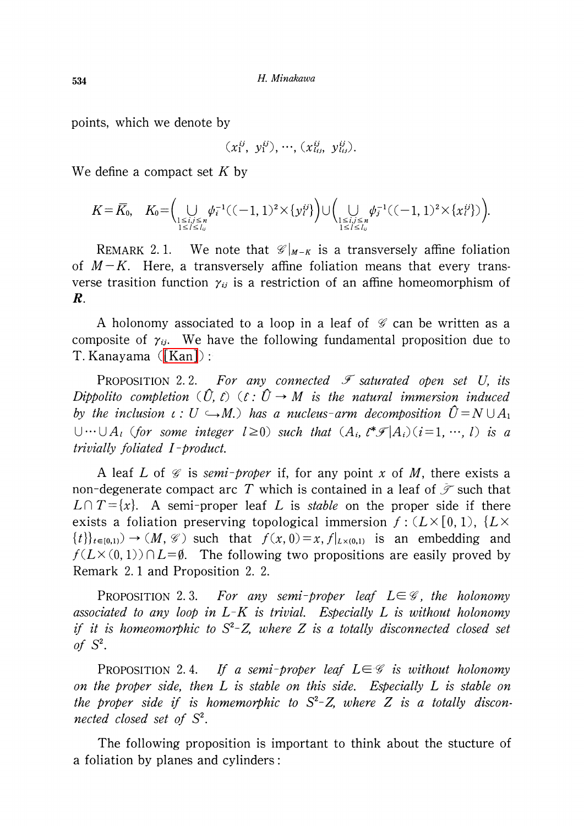points, which we denote by

$$
(x_1^{ij}, y_1^{ij}), \cdots, (x_{l_{ij}}^{ij}, y_{l_{ij}}^{ij}).
$$

We define a compact set  $K$  by

$$
K = \overline{K}_{0}, \quad K_{0} = \Big( \bigcup_{\substack{1 \leq i,j \leq n \\ 1 \leq l \leq l_{ij}}} \psi_{i}^{-1}((-1,1)^{2} \times \{y_{l}^{ij}\}) \Big) \cup \Big( \bigcup_{\substack{1 \leq i,j \leq n \\ 1 \leq l \leq l_{ij}}} \psi_{j}^{-1}((-1,1)^{2} \times \{x_{l}^{ij}\}) \Big).
$$

REMARK 2.1. We note that  $\mathscr{C}|_{M-K}$  is a transversely affine foliation of  $M-K$ . Here, a transversely affine foliation means that every transverse trasition function  $\gamma_{ij}$  is a restriction of an affine homeomorphism of R.

A holonomy associated to a loop in a leaf of  $\mathscr{G}$  can be written as a composite of  $\gamma_{ij}$ . We have the following fundamental proposition due to T. Kanayama [\(\[Kan\]\)](#page-7-3) :

<span id="page-3-0"></span>PROPOSITION 2.2. For any connected  $\mathscr{F}$  saturated open set U, its Dippolito completion  $(\hat{U}, \hat{C})$   $(\hat{E} : \hat{U} \rightarrow M$  is the natural immersion induced by the inclusion  $\iota : U \hookrightarrow M$ .) has a nucleus-arm decomposition  $\hat{U}=N\cup A_{1}$  $\cup\cdots \cup A_{l}$  (for some integer  $l\geq 0$ ) such that  $(A_{i}, l^{\ast}\mathcal{F}|A_{i})(i=1, \cdots, l)$  is a trivially foliated I-product.

A leaf L of  $\mathcal{G}$  is semi-proper if, for any point x of M, there exists a non-degenerate compact arc T which is contained in a leaf of  $\mathscr{F}$  such that  $L\cap T=\{x\}$ . A semi-proper leaf L is stable on the proper side if there exists a foliation preserving topological immersion  $f: (L\times[0,1), \{L\times[0,1),\{L\times[0,1)\}\})$  $\{\{t\}\}_{t\in [0,1)}$   $\rightarrow$   $(M, \mathcal{G})$  such that  $f(x, 0) = x, f|_{L\times(0,1)}$  is an embedding and  $f(L\times(0,1))\cap L=\emptyset$ . The following two propositions are easily proved by Remark 2. <sup>1</sup> and Proposition 2. 2.

<span id="page-3-2"></span>PROPOSITION 2.3. For any semi-proper leaf  $L\in \mathscr{G}$ , the holonomy associated to any loop in  $L-K$  is trivial. Especially L is without holonomy if it is homeomorphic to  $S^{2}-Z$ , where  $Z$  is a totally disconnected closed set of  $S^{2}$ .

<span id="page-3-1"></span>PROPOSITION 2.4. If a semi-proper leaf  $L\in \mathscr{G}$  is without holonomy on the proper side, then L is stable on this side. Especially L is stable on the proper side if is homemorphic to  $S^{2}-Z$ , where Z is a totally disconnected closed set of  $S^{2}$ .

The following proposition is important to think about the stucture of a foliation by planes and cylinders: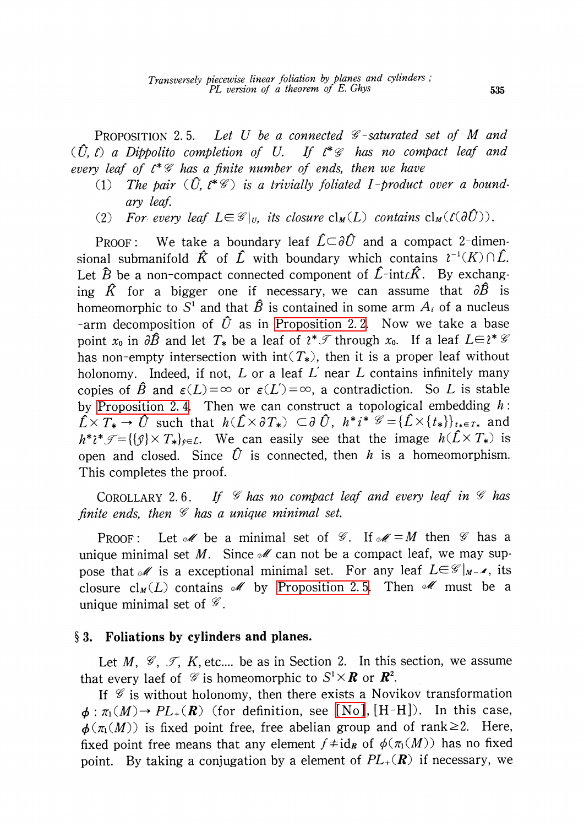<span id="page-4-0"></span>PROPOSITION 2.5. Let U be a connected  $\mathcal{C}$ -saturated set of M and  $(\hat{U}, \hat{U})$  a Dippolito completion of U. If  $\mathcal{C}^{*}\mathcal{C}$  has no compact leaf and every leaf of  $\ell^{*}\mathcal{G}$  has a finite number of ends, then we have

- (1) The pair  $(\hat{U},\hat{\ell}^{*}\mathscr{G})$  is a trivially foliated I-product over a boundary leaf.
- (2) For every leaf  $L\in \mathscr{G}|_{U}$ , its closure  $cl_{M}(L)$  contains  $cl_{M}(\ell(\partial U))$ .

PROOF: We take a boundary leaf  $\hat{L}\subset\partial\hat{U}$  and a compact 2-dimensional submanifold  $\hat{K}$  of  $\hat{L}$  with boundary which contains  $\hat{\ell}^{-1}(K)\cap\bar{L}$ . Let  $\widehat{B}$  be a non-compact connected component of  $\widehat{L}$ -int ${}_{L}\widehat{K}$ . By exchanging  $\hat{K}$  for a bigger one if necessary, we can assume that  $\partial\hat{B}$  is homeomorphic to  $S^{1}$  and that  $\hat{B}$  is contained in some arm  $A_{i}$  of a nucleus -arm decomposition of  $\hat{U}$  as in [Proposition](#page-3-0) 2.2. Now we take a base point  $x_{0}$  in  $\partial\hat{B}$  and let  $T_{*}$  be a leaf of  $\ell^{*}\mathcal{I}$  through  $x_{0}$ . If a leaf  $L\in \ell^{*}\mathcal{G}$ has non-empty intersection with  $int(T_*)$ , then it is a proper leaf without holonomy. Indeed, if not, L or a leaf  $L'$  near L contains infinitely many copies of  $\hat{B}$  and  $\varepsilon(L)=\infty$  or  $\varepsilon(L')=\infty$ , a contradiction. So  $L$  is stable by [Proposition](#page-3-1) 2.4. Then we can construct a topological embedding  $h$ :  $\hat{L}\times T_{*}\rightarrow\hat{U}$  such that  $h(\hat{L}\times\partial T_{*})\;\subset\!\partial\;\hat{U},\;h^{*}i^{*}\;\mathscr{G}\!=\!\{\hat{L}\!\times\!\{t_{*}\}\}_{t_{*}\in T_{*}}$  and  $h^{*}\mathcal{\mathcal{F}}{=}\{\{\mathcal{G}\}\times T_{*}\}_{\mathcal{F}}{=}\mathcal{L}$ . We can easily see that the image  $h(\hat{L}\times T_{*})$  is open and closed. Since  $\hat{U}$  is connected, then h is a homeomorphism. This completes the proof.

COROLLARY 2.6. If  $\mathscr{C}$  has no compact leaf and every leaf in  $\mathscr{C}$  has finite ends, then  $\mathscr{G}$  has a unique minimal set.

PROOF: Let  $\mathcal{M}$  be a minimal set of  $\mathcal{G}$ . If  $\mathcal{M}=M$  then  $\mathcal{G}$  has a unique minimal set M. Since  $\mathcal{M}$  can not be a compact leaf, we may suppose that  $\mathscr{M}$  is a exceptional minimal set. For any leaf  $L\!\!\in\!\mathscr{G}|_{M-\mathscr{M}}$ , its closure  $\text{cl}_{M}(L)$  contains  $\mathcal{M}$  by [Proposition](#page-4-0) 2.5. Then  $\mathcal{M}$  must be a unique minimal set of  $\mathscr{G}$ .

# $\S 3.$  Foliations by cylinders and planes.

Let M,  $\mathscr{G}, \mathscr{T}, K$ , etc.... be as in Section 2. In this section, we assume that every laef of  $\mathscr{G}$  is homeomorphic to  $S^{1}\times\boldsymbol{R}$  or  $\boldsymbol{R}^{2}.$ 

If  $\mathscr{G}$  is without holonomy, then there exists a Novikov transformation  $\phi : \pi_{1}(M) \rightarrow PL_{+}(R)$  (for definition, see [\[No\],](#page-7-4) [H-H]). In this case,  $\phi(\pi_{1}(M))$  is fixed point free, free abelian group and of rank  $\geq 2$ . Here, fixed point free means that any element  $f \neq id_{R}$  of  $\phi(\pi_{1}(M))$  has no fixed point. By taking a conjugation by a element of  $PL_{+}(\mathbf{R})$  if necessary, we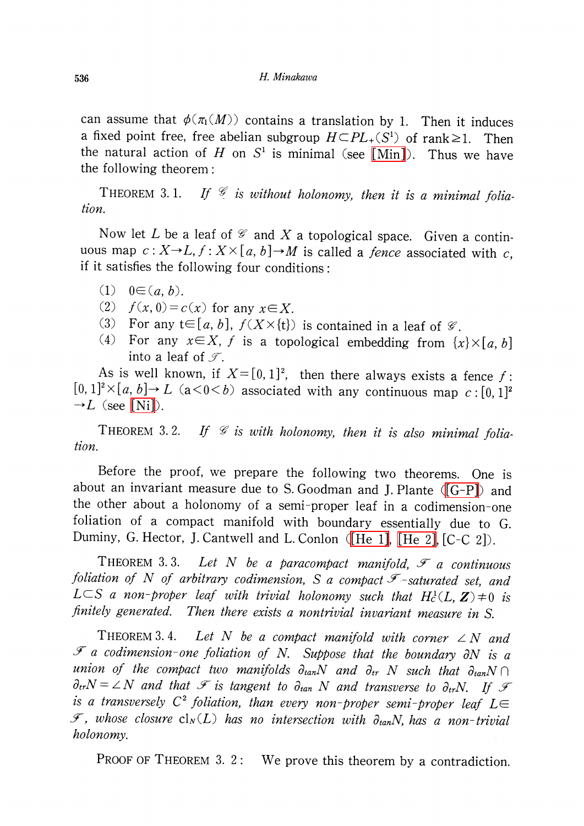can assume that  $\phi(\pi_{1}(M))$  contains a translation by 1. Then it induces a fixed point free, free abelian subgroup  $H\mathbb{C}PL_{+}(S^{1})$  of rank  $\geq$  1. Then the natural action of H on  $S^{1}$  is minimal (see [\[Min\]\)](#page-7-5). Thus we have the following theorem:

THEOREM 3.1. If  $\mathcal{G}$  is without holonomy, then it is a minimal foliation.

Now let L be a leaf of  $\mathcal{C}$  and X a topological space. Given a continuous map  $c:X\rightarrow L$ ,  $f:X\times[a, b]\rightarrow M$  is called a *fence* associated with c, if it satisfies the following four conditions:

- (1)  $0 \in (a, b)$ .
- (2)  $f(x, 0) = c(x)$  for any  $x \in X$ .
- (3) For any  $t\in[a, b]$ ,  $f(X\times\{t\})$  is contained in a leaf of  $\mathscr{G}$ .
- (4) For any  $x \in X$ , f is a topological embedding from  $\{x\}\times[a, b]$ into a leaf of  $\mathcal{T}$ .

As is well known, if  $X=[0,1]^2$ , then there always exists a fence f:<br> $\frac{12}{2}$  (a)  $\frac{1}{2}$ ,  $\frac{1}{2}$  (a)  $\frac{2}{2}$  (a) associated with such the set of all  $[0, 1]^{2}\times[a, b]\rightarrow L$  (a $<0) associated with any continuous map  $c:[0, 1]^{2}$$  $\neg L$  (see [\[Ni\]\)](#page-7-6).

THEOREM 3.2. If  $\mathcal C$  is with holonomy, then it is also minimal foliation.

Before the proof, we prepare the following two theorems. One is about an invariant measure due to S. Goodman and J. Plante  $([G-P])$  and the other about <sup>a</sup> holonomy of a semi-proper leaf in a codimension-0ne foliation of <sup>a</sup> compact manifold with boundary essentially due to G. Duminy, G. Hector, J. Cantwell and L. Conlon [\(\[He](#page-7-8) 1], [\[He](#page-7-8) 2], [C-C 2]).

<span id="page-5-0"></span>THEOREM 3.3. Let N be a paracompact manifold,  $\mathcal{F}$  a continuous foliation of N of arbitrary codimension, S a compact  $\mathscr{F}$ -saturated set, and L $\subset$ S a non-proper leaf with trivial holonomy such that  $H_{c}^{1}(L, Z) \neq 0$  is finitely generated. Then there exists a nontrivial invariant measure in S.

<span id="page-5-1"></span>THEOREM 3.4. Let N be a compact manifold with corner  $\angle N$  and  $\mathcal{F}$  a codimension-one foliation of N. Suppose that the boundary  $\partial N$  is a union of the compact two manifolds  $\partial_{tan}N$  and  $\partial_{tr}N$  such that  $\partial_{tan}N\cap$  $\partial_{tr}N=\angle N$  and that  $\mathscr{F}$  is tangent to  $\partial_{tan}N$  and transverse to  $\partial_{tr}N$ . If  $\mathscr{F}$ is a transversely  $C^{2}$  foliation, than every non-proper semi-proper leaf  $L\in$  $\mathscr{F}$ , whose closure  $\text{cl}_N(L)$  has no intersection with  $\partial_{tan}N$ , has a non-trivial holonomy.

PROOF OF THEOREM 3. 2: We prove this theorem by a contradiction.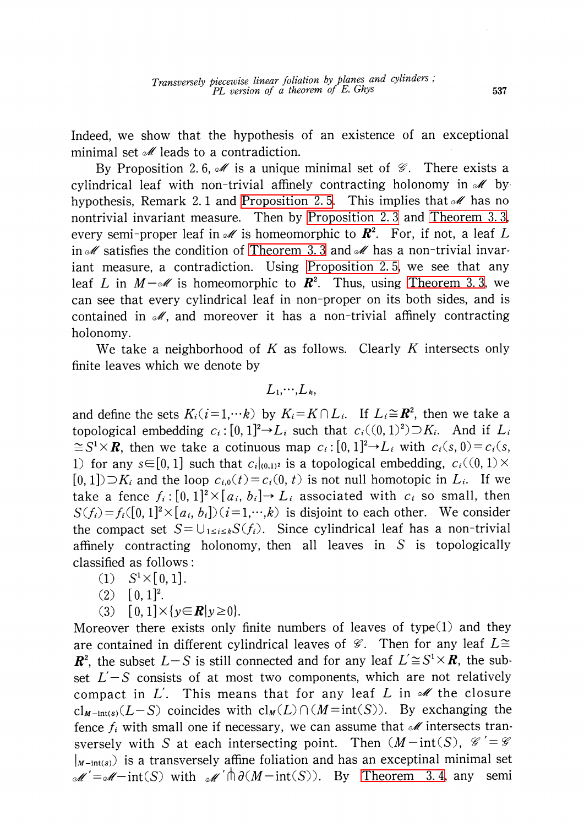Indeed, we show that the hypothesis of an existence of an exceptional minimal set  $\mathcal{M}$  leads to a contradiction.

By Proposition 2.6,  $\mathscr{M}$  is a unique minimal set of  $\mathscr{G}$ . There exists a cylindrical leaf with non-trivial affinely contracting holonomy in  $\mathscr{M}$  by hypothesis, Remark 2.1 and [Proposition](#page-4-0) 2.5. This implies that  $\mathcal{M}$  has no nontrivial invariant measure. Then by [Proposition](#page-3-2) 2. 3 and [Theorem](#page-5-0) 3. 3, every semi-proper leaf in  $\mathcal{M}$  is homeomorphic to  $\mathbb{R}^{2}$ . For, if not, a leaf L in  $\mathscr{M}$  satisfies the condition of [Theorem](#page-5-0) 3.3 and  $\mathscr{M}$  has a non-trivial invariant measure, a contradiction. Using [Proposition](#page-4-0) 2. 5, we see that any leaf  $L$  in  $M- \mathscr{M}$  is homeomorphic to  $\boldsymbol{R}^{2}.$  Thus, using [Theorem](#page-5-0) 3.3, we can see that every cylindrical leaf in non-proper on its both sides, and is contained in  $\mathcal{M}$ , and moreover it has a non-trivial affinely contracting holonomy.

We take a neighborhood of K as follows. Clearly K intersects only finite leaves which we denote by

$$
L_1,\dots,L_k,
$$

and define the sets  $K_{i}(i=1,\cdots k)$  by  $K_{i}\!=\!K\cap L_{i}$ . If  $L_{i}\!\cong\! \boldsymbol R^{2}$ , then we take a topological embedding  $c_{i}$ :  $[0, 1]^{2} \rightarrow L_{i}$  such that  $c_{i}((0, 1)^{2})\supset K_{i}$ . And if  $L_{i}$  $\cong S^{1}\times \mathbf{R}$ , then we take a cotinuous map  $c_{i} : [0, 1]^{2}\rightarrow L_{i}$  with  $c_{i}(s, 0)=c_{i}(s, 0)$ 1) for any  $s\in[0,1]$  such that  $c_{i}|_{(0,1)^{2}}$  is a topological embedding,  $c_{i}((0,1)\times$  $[0,1]) \supset K_{i}$  and the loop  $c_{i,0}(t) = c_{i}(0, t)$  is not null homotopic in  $L_{i}$ . If we take a fence  $f_{i} : [0, 1]^{2} \times [a_{i}, b_{i}] \rightarrow L_{i}$  associated with  $c_{i}$  so small, then  $S(f_{i})=f_{i}([0,1]^{2}\times[a_{i}, b_{i}])(i=1,\dots,k)$  is disjoint to each other. We consider the compact set  $S = \bigcup_{1\leq i\leq k}S(f_{i})$ . Since cylindrical leaf has a non-trivial affinely contracting holonomy, then all leaves in S is topologically classified as follows:

- $(1) \quad S^{1}\times[0,1].$
- $(2) \quad [0, 1]^{2}$ .

(3) 
$$
[0,1] \times \{y \in \mathbb{R} | y \ge 0\}.
$$

Moreover there exists only finite numbers of leaves of type(l) and they are contained in different cylindrical leaves of  $\mathscr{G}.$  Then for any leaf  $L\cong$  $\mathbb{R}^{2}$ , the subset  $L-S$  is still connected and for any leaf  $L'\cong S^{1}\times \mathbb{R}$ , the subset  $L'-S$  consists of at most two components, which are not relatively compact in  $L'$ . This means that for any leaf L in  $\mathscr{M}$  the closure  $cl_{M-int(s)}(L-S)$  coincides with  $cl_M(L)\cap(M=int(S))$ . By exchanging the fence  $f_{i}$  with small one if necessary, we can assume that  $\mathcal{M}$  intersects transversely with S at each intersecting point. Then  $(M-int(S), \mathcal{G}')=\mathcal{G}$  $|_{M-1nt(s)}$  is a transversely affine foliation and has an exceptinal minimal set  $\mathcal{M}'=\mathcal{M}-\text{int}(S)$  with  $\mathcal{M}'\bigcap \partial (M-\text{int}(S))$ . By [Theorem](#page-5-1) 3.4, any semi